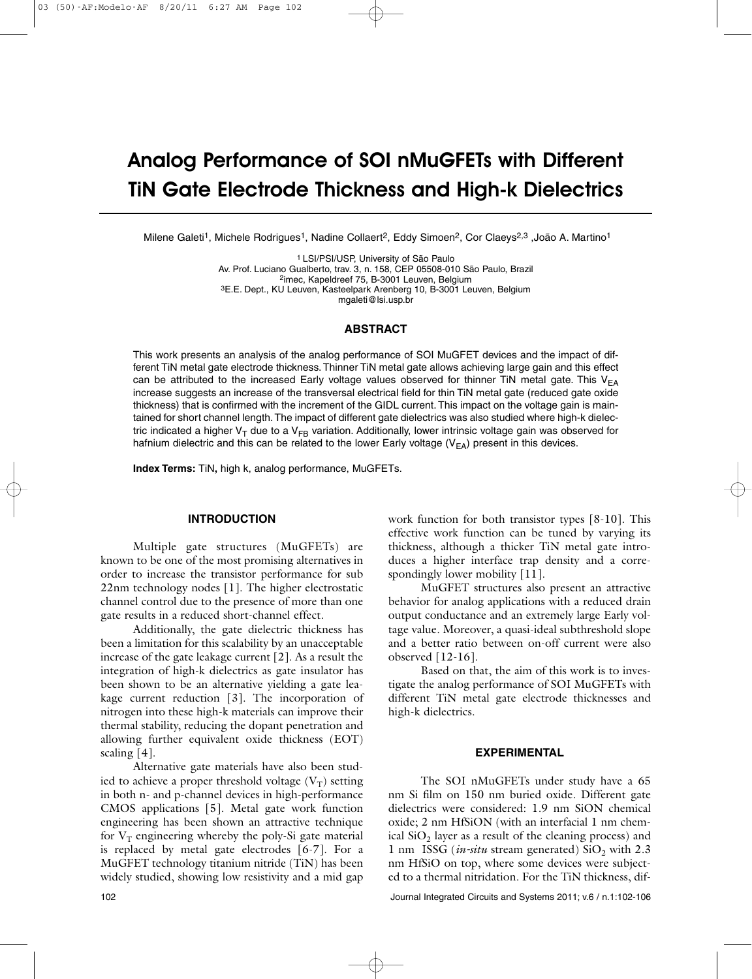# Analog Performance of SOI nMuGFETs with Different TiN Gate Electrode Thickness and High-k Dielectrics

Milene Galeti<sup>1</sup>, Michele Rodrigues<sup>1</sup>, Nadine Collaert<sup>2</sup>, Eddy Simoen<sup>2</sup>, Cor Claeys<sup>2,3</sup> ,João A. Martino<sup>1</sup>

1 LSI/PSI/USP, University of São Paulo Av. Prof. Luciano Gualberto, trav. 3, n. 158, CEP 05508-010 São Paulo, Brazil 2imec, Kapeldreef 75, B-3001 Leuven, Belgium 3E.E. Dept., KU Leuven, Kasteelpark Arenberg 10, B-3001 Leuven, Belgium mgaleti@lsi.usp.br

# **ABSTRACT**

This work presents an analysis of the analog performance of SOI MuGFET devices and the impact of different TiN metal gate electrode thickness.Thinner TiN metal gate allows achieving large gain and this effect can be attributed to the increased Early voltage values observed for thinner TiN metal gate. This  $V_{FA}$ increase suggests an increase of the transversal electrical field for thin TiN metal gate (reduced gate oxide thickness) that is confirmed with the increment of the GIDL current.This impact on the voltage gain is maintained for short channel length.The impact of different gate dielectrics was also studied where high-k dielectric indicated a higher V<sub>T</sub> due to a V<sub>FB</sub> variation. Additionally, lower intrinsic voltage gain was observed for hafnium dielectric and this can be related to the lower Early voltage  $(V_{FA})$  present in this devices.

**Index Terms:** TiN**,** high k, analog performance, MuGFETs.

#### **INTRODUCTION**

Multiple gate structures (MuGFETs) are known to be one of the most promising alternatives in order to increase the transistor performance for sub 22nm technology nodes [1]. The higher electrostatic channel control due to the presence of more than one gate results in a reduced short-channel effect.

Additionally, the gate dielectric thickness has been a limitation for this scalability by an unacceptable increase of the gate leakage current [2]. As a result the integration of high-k dielectrics as gate insulator has been shown to be an alternative yielding a gate leakage current reduction [3]. The incorporation of nitrogen into these high-k materials can improve their thermal stability, reducing the dopant penetration and allowing further equivalent oxide thickness (EOT) scaling [4].

Alternative gate materials have also been studied to achieve a proper threshold voltage  $(V_T)$  setting in both n- and p-channel devices in high-performance CMOS applications [5]. Metal gate work function engineering has been shown an attractive technique for  $V_T$  engineering whereby the poly-Si gate material is replaced by metal gate electrodes [6-7]. For a MuGFET technology titanium nitride (TiN) has been widely studied, showing low resistivity and a mid gap work function for both transistor types [8-10]. This effective work function can be tuned by varying its thickness, although a thicker TiN metal gate introduces a higher interface trap density and a correspondingly lower mobility [11].

MuGFET structures also present an attractive behavior for analog applications with a reduced drain output conductance and an extremely large Early voltage value. Moreover, a quasi-ideal subthreshold slope and a better ratio between on-off current were also observed [12-16].

Based on that, the aim of this work is to investigate the analog performance of SOI MuGFETs with different TiN metal gate electrode thicknesses and high-k dielectrics.

#### **EXPERIMENTAL**

The SOI nMuGFETs under study have a 65 nm Si film on 150 nm buried oxide. Different gate dielectrics were considered: 1.9 nm SiON chemical oxide; 2 nm HfSiON (with an interfacial 1 nm chemical  $SiO<sub>2</sub>$  layer as a result of the cleaning process) and 1 nm ISSG (*in-situ* stream generated)  $SiO<sub>2</sub>$  with 2.3 nm HfSiO on top, where some devices were subjected to a thermal nitridation. For the TiN thickness, dif-

102 Journal Integrated Circuits and Systems 2011; v.6 / n.1:102-106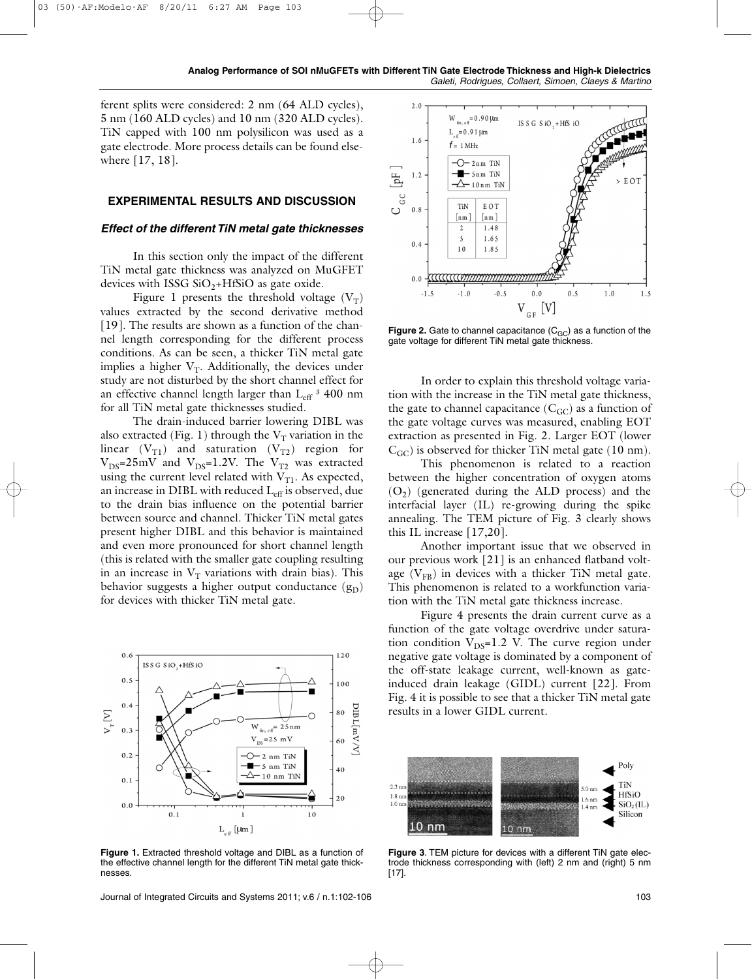**Analog Performance of SOI nMuGFETs with Different TiN Gate Electrode Thickness and High-k Dielectrics** *Galeti, Rodrigues, Collaert, Simoen, Claeys & Martino*

ferent splits were considered: 2 nm (64 ALD cycles), 5 nm (160 ALD cycles) and 10 nm (320 ALD cycles). TiN capped with 100 nm polysilicon was used as a gate electrode. More process details can be found elsewhere [17, 18].

### **EXPERIMENTAL RESULTS AND DISCUSSION**

#### *Effect of the different TiN metal gate thicknesses*

In this section only the impact of the different TiN metal gate thickness was analyzed on MuGFET devices with ISSG  $SiO_2+HfSiO$  as gate oxide.

Figure 1 presents the threshold voltage  $(V_T)$ values extracted by the second derivative method [19]. The results are shown as a function of the channel length corresponding for the different process conditions. As can be seen, a thicker TiN metal gate implies a higher  $V_T$ . Additionally, the devices under study are not disturbed by the short channel effect for an effective channel length larger than  $L_{eff}$ <sup>3</sup> 400 nm for all TiN metal gate thicknesses studied.

The drain-induced barrier lowering DIBL was also extracted (Fig. 1) through the  $V_T$  variation in the linear  $(V_{T1})$  and saturation  $(V_{T2})$  region for  $V_{DS}$ =25mV and  $V_{DS}$ =1.2V. The  $V_{T2}$  was extracted using the current level related with  $V_{T1}$ . As expected, an increase in DIBL with reduced  $L_{\text{eff}}$  is observed, due to the drain bias influence on the potential barrier between source and channel. Thicker TiN metal gates present higher DIBL and this behavior is maintained and even more pronounced for short channel length (this is related with the smaller gate coupling resulting in an increase in  $V_T$  variations with drain bias). This behavior suggests a higher output conductance  $(g_D)$ for devices with thicker TiN metal gate.



**Figure 1.** Extracted threshold voltage and DIBL as a function of the effective channel length for the different TiN metal gate thicknesses.

Journal of Integrated Circuits and Systems 2011; v.6 / n.1:102-106 103



**Figure 2.** Gate to channel capacitance (C<sub>GC</sub>) as a function of the gate voltage for different TiN metal gate thickness.

In order to explain this threshold voltage variation with the increase in the TiN metal gate thickness, the gate to channel capacitance  $(C_{\text{GC}})$  as a function of the gate voltage curves was measured, enabling EOT extraction as presented in Fig. 2. Larger EOT (lower  $C_{GC}$ ) is observed for thicker TiN metal gate (10 nm).

This phenomenon is related to a reaction between the higher concentration of oxygen atoms  $(O<sub>2</sub>)$  (generated during the ALD process) and the interfacial layer (IL) re-growing during the spike annealing. The TEM picture of Fig. 3 clearly shows this IL increase [17,20].

Another important issue that we observed in our previous work [21] is an enhanced flatband voltage  $(V_{FR})$  in devices with a thicker TiN metal gate. This phenomenon is related to a workfunction variation with the TiN metal gate thickness increase.

Figure 4 presents the drain current curve as a function of the gate voltage overdrive under saturation condition  $V_{DS}=1.2$  V. The curve region under negative gate voltage is dominated by a component of the off-state leakage current, well-known as gateinduced drain leakage (GIDL) current [22]. From Fig. 4 it is possible to see that a thicker TiN metal gate results in a lower GIDL current.



**Figure 3**. TEM picture for devices with a different TiN gate electrode thickness corresponding with (left) 2 nm and (right) 5 nm [17].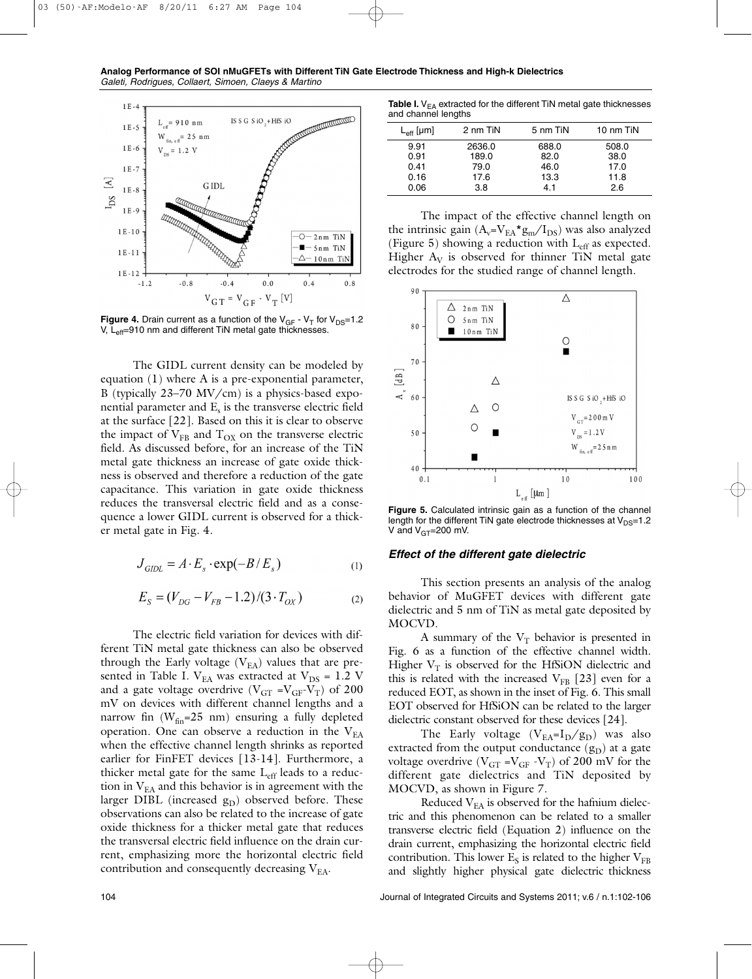



**Figure 4.** Drain current as a function of the  $V_{GF} - V_T$  for  $V_{DS} = 1.2$ V, L<sub>eff</sub>=910 nm and different TiN metal gate thicknesses.

The GIDL current density can be modeled by equation (1) where A is a pre-exponential parameter, B (typically 23–70 MV/cm) is a physics-based exponential parameter and  $E<sub>s</sub>$  is the transverse electric field at the surface [22]. Based on this it is clear to observe the impact of  $V_{FB}$  and  $T_{OX}$  on the transverse electric field. As discussed before, for an increase of the TiN metal gate thickness an increase of gate oxide thickness is observed and therefore a reduction of the gate capacitance. This variation in gate oxide thickness reduces the transversal electric field and as a consequence a lower GIDL current is observed for a thicker metal gate in Fig. 4.

$$
J_{GIDL} = A \cdot E_s \cdot \exp(-B/E_s)
$$
 (1)

$$
E_S = (V_{DG} - V_{FB} - 1.2) / (3 \cdot T_{OX})
$$
 (2)

The electric field variation for devices with different TiN metal gate thickness can also be observed through the Early voltage  $(V_{EA})$  values that are presented in Table I.  $V_{EA}$  was extracted at  $V_{DS} = 1.2$  V and a gate voltage overdrive ( $V_{GT} = V_{GF} - V_T$ ) of 200 mV on devices with different channel lengths and a narrow fin  $(W_{fin} = 25$  nm) ensuring a fully depleted operation. One can observe a reduction in the  $V_{EA}$ when the effective channel length shrinks as reported earlier for FinFET devices [13-14]. Furthermore, a thicker metal gate for the same  $L_{\text{eff}}$  leads to a reduction in  $V_{EA}$  and this behavior is in agreement with the larger DIBL (increased  $g_D$ ) observed before. These observations can also be related to the increase of gate oxide thickness for a thicker metal gate that reduces the transversal electric field influence on the drain current, emphasizing more the horizontal electric field contribution and consequently decreasing  $V_{EA}$ .

**Table I.** V<sub>EA</sub> extracted for the different TiN metal gate thicknesses and channel lengths

|                    | ້        |          |           |
|--------------------|----------|----------|-----------|
| $L_{\rm eff}$ [µm] | 2 nm TiN | 5 nm TiN | 10 nm TiN |
| 9.91               | 2636.0   | 688.0    | 508.0     |
| 0.91               | 189.0    | 82.0     | 38.0      |
| 0.41               | 79.0     | 46.0     | 17.0      |
| 0.16               | 17.6     | 13.3     | 11.8      |
| 0.06               | 3.8      | 4.1      | 2.6       |

The impact of the effective channel length on the intrinsic gain  $(A_v = V_{EA} * g_m / I_{DS})$  was also analyzed (Figure 5) showing a reduction with  $L_{\text{eff}}$  as expected. Higher  $A_V$  is observed for thinner TiN metal gate electrodes for the studied range of channel length.



**Figure 5.** Calculated intrinsic gain as a function of the channel length for the different TiN gate electrode thicknesses at  $V_{DS}=1.2$ V and  $V_{GT}$ =200 mV.

## *Effect of the different gate dielectric*

This section presents an analysis of the analog behavior of MuGFET devices with different gate dielectric and 5 nm of TiN as metal gate deposited by MOCVD.

A summary of the  $V_T$  behavior is presented in Fig. 6 as a function of the effective channel width. Higher  $V_T$  is observed for the HfSiON dielectric and this is related with the increased  $V_{FB}$  [23] even for a reduced EOT, as shown in the inset of Fig. 6. This small EOT observed for HfSiON can be related to the larger dielectric constant observed for these devices [24].

The Early voltage  $(V_{EA} = I_D / g_D)$  was also extracted from the output conductance  $(g_D)$  at a gate voltage overdrive ( $V_{GT} = V_{GF} - V_T$ ) of 200 mV for the different gate dielectrics and TiN deposited by MOCVD, as shown in Figure 7.

Reduced  $V_{EA}$  is observed for the hafnium dielectric and this phenomenon can be related to a smaller transverse electric field (Equation 2) influence on the drain current, emphasizing the horizontal electric field contribution. This lower  $E<sub>S</sub>$  is related to the higher  $V<sub>FR</sub>$ and slightly higher physical gate dielectric thickness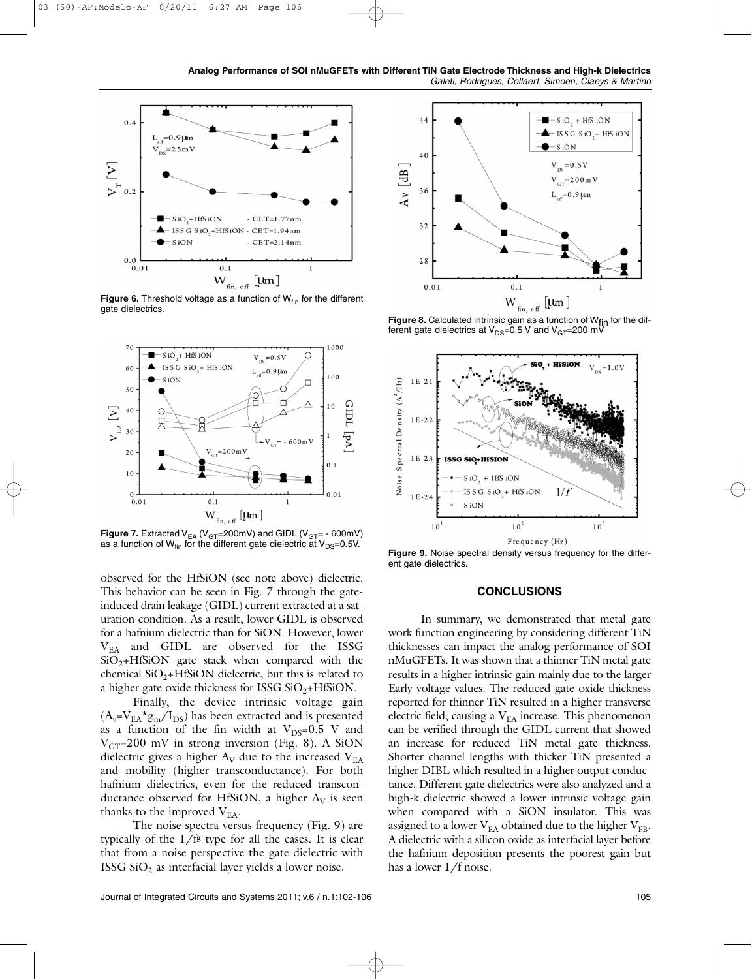



**Figure 6.** Threshold voltage as a function of W<sub>fin</sub> for the different gate dielectrics.



**Figure 7.** Extracted  $V_{EA}$  ( $V_{GT}$ =200mV) and GIDL ( $V_{GT}$ = - 600mV) as a function of  $W_{fin}$  for the different gate dielectric at  $V_{DS}=0.5V$ .

observed for the HfSiON (see note above) dielectric. This behavior can be seen in Fig. 7 through the gateinduced drain leakage (GIDL) current extracted at a saturation condition. As a result, lower GIDL is observed for a hafnium dielectric than for SiON. However, lower VEA and GIDL are observed for the ISSG  $SiO<sub>2</sub>+HfSiON$  gate stack when compared with the chemical  $SiO_2+HfSiON$  dielectric, but this is related to a higher gate oxide thickness for ISSG  $SiO<sub>2</sub>+HfSiON$ .

Finally, the device intrinsic voltage gain  $(A_v = V_{EA} * g_m / I_{DS})$  has been extracted and is presented as a function of the fin width at  $V_{DS}=0.5$  V and  $V_{GT}$ =200 mV in strong inversion (Fig. 8). A SiON dielectric gives a higher  $A_V$  due to the increased  $V_{EA}$ and mobility (higher transconductance). For both hafnium dielectrics, even for the reduced transconductance observed for HfSiON, a higher  $A_V$  is seen thanks to the improved  $V_{EA}$ .

The noise spectra versus frequency (Fig. 9) are typically of the  $1/f<sup>g</sup>$  type for all the cases. It is clear that from a noise perspective the gate dielectric with ISSG  $SiO<sub>2</sub>$  as interfacial layer yields a lower noise.



**Figure 8.** Calculated intrinsic gain as a function of W<sub>fin</sub> for the dif-<br>ferent gate dielectrics at V<sub>DS</sub>=0.5 V and V<sub>GT</sub>=200 mV



**Figure 9.** Noise spectral density versus frequency for the different gate dielectrics.

#### **CONCLUSIONS**

In summary, we demonstrated that metal gate work function engineering by considering different TiN thicknesses can impact the analog performance of SOI nMuGFETs. It was shown that a thinner TiN metal gate results in a higher intrinsic gain mainly due to the larger Early voltage values. The reduced gate oxide thickness reported for thinner TiN resulted in a higher transverse electric field, causing a  $V_{EA}$  increase. This phenomenon can be verified through the GIDL current that showed an increase for reduced TiN metal gate thickness. Shorter channel lengths with thicker TiN presented a higher DIBL which resulted in a higher output conductance. Different gate dielectrics were also analyzed and a high-k dielectric showed a lower intrinsic voltage gain when compared with a SiON insulator. This was assigned to a lower  $V_{EA}$  obtained due to the higher  $V_{FB}$ . A dielectric with a silicon oxide as interfacial layer before the hafnium deposition presents the poorest gain but has a lower 1/f noise.